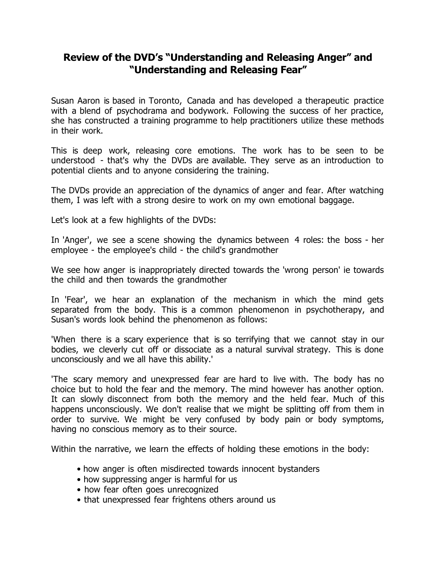## **Review of the DVD's "Understanding and Releasing Anger" and "Understanding and Releasing Fear"**

Susan Aaron is based in Toronto, Canada and has developed a therapeutic practice with a blend of psychodrama and bodywork. Following the success of her practice, she has constructed a training programme to help practitioners utilize these methods in their work.

This is deep work, releasing core emotions. The work has to be seen to be understood - that's why the DVDs are available. They serve as an introduction to potential clients and to anyone considering the training.

The DVDs provide an appreciation of the dynamics of anger and fear. After watching them, I was left with a strong desire to work on my own emotional baggage.

Let's look at a few highlights of the DVDs:

In 'Anger', we see a scene showing the dynamics between 4 roles: the boss - her employee - the employee's child - the child's grandmother

We see how anger is inappropriately directed towards the 'wrong person' ie towards the child and then towards the grandmother

In 'Fear', we hear an explanation of the mechanism in which the mind gets separated from the body. This is a common phenomenon in psychotherapy, and Susan's words look behind the phenomenon as follows:

'When there is a scary experience that is so terrifying that we cannot stay in our bodies, we cleverly cut off or dissociate as a natural survival strategy. This is done unconsciously and we all have this ability.'

'The scary memory and unexpressed fear are hard to live with. The body has no choice but to hold the fear and the memory. The mind however has another option. It can slowly disconnect from both the memory and the held fear. Much of this happens unconsciously. We don't realise that we might be splitting off from them in order to survive. We might be very confused by body pain or body symptoms, having no conscious memory as to their source.

Within the narrative, we learn the effects of holding these emotions in the body:

- how anger is often misdirected towards innocent bystanders
- how suppressing anger is harmful for us
- how fear often goes unrecognized
- that unexpressed fear frightens others around us